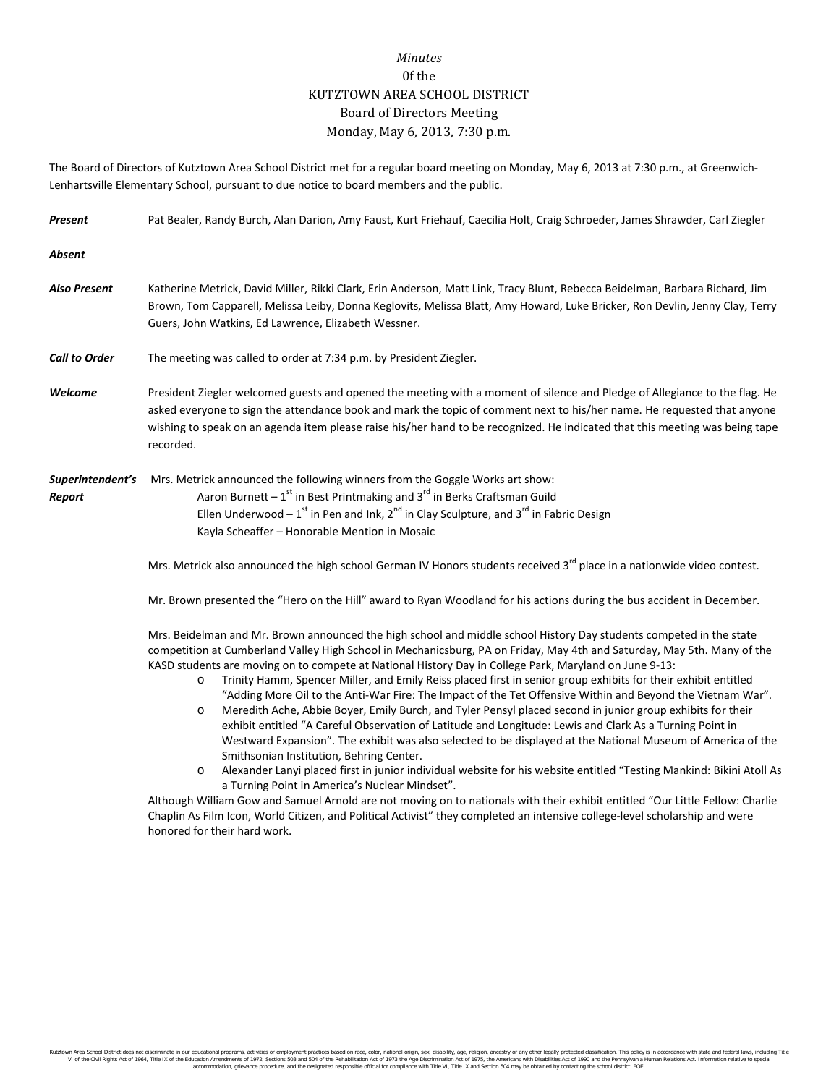## *Minutes* 0f the KUTZTOWN AREA SCHOOL DISTRICT Board of Directors Meeting Monday, May 6, 2013, 7:30 p.m.

The Board of Directors of Kutztown Area School District met for a regular board meeting on Monday, May 6, 2013 at 7:30 p.m., at Greenwich-Lenhartsville Elementary School, pursuant to due notice to board members and the public.

| Present                    | Pat Bealer, Randy Burch, Alan Darion, Amy Faust, Kurt Friehauf, Caecilia Holt, Craig Schroeder, James Shrawder, Carl Ziegler                                                                                                                                                                                                                                                                                                                                                                                                                                                                                                                                                                                                                                                                                                                                                                                                                                                                        |  |  |  |
|----------------------------|-----------------------------------------------------------------------------------------------------------------------------------------------------------------------------------------------------------------------------------------------------------------------------------------------------------------------------------------------------------------------------------------------------------------------------------------------------------------------------------------------------------------------------------------------------------------------------------------------------------------------------------------------------------------------------------------------------------------------------------------------------------------------------------------------------------------------------------------------------------------------------------------------------------------------------------------------------------------------------------------------------|--|--|--|
| <b>Absent</b>              |                                                                                                                                                                                                                                                                                                                                                                                                                                                                                                                                                                                                                                                                                                                                                                                                                                                                                                                                                                                                     |  |  |  |
| <b>Also Present</b>        | Katherine Metrick, David Miller, Rikki Clark, Erin Anderson, Matt Link, Tracy Blunt, Rebecca Beidelman, Barbara Richard, Jim<br>Brown, Tom Capparell, Melissa Leiby, Donna Keglovits, Melissa Blatt, Amy Howard, Luke Bricker, Ron Devlin, Jenny Clay, Terry<br>Guers, John Watkins, Ed Lawrence, Elizabeth Wessner.                                                                                                                                                                                                                                                                                                                                                                                                                                                                                                                                                                                                                                                                                |  |  |  |
| <b>Call to Order</b>       | The meeting was called to order at 7:34 p.m. by President Ziegler.                                                                                                                                                                                                                                                                                                                                                                                                                                                                                                                                                                                                                                                                                                                                                                                                                                                                                                                                  |  |  |  |
| Welcome                    | President Ziegler welcomed guests and opened the meeting with a moment of silence and Pledge of Allegiance to the flag. He<br>asked everyone to sign the attendance book and mark the topic of comment next to his/her name. He requested that anyone<br>wishing to speak on an agenda item please raise his/her hand to be recognized. He indicated that this meeting was being tape<br>recorded.                                                                                                                                                                                                                                                                                                                                                                                                                                                                                                                                                                                                  |  |  |  |
| Superintendent's<br>Report | Mrs. Metrick announced the following winners from the Goggle Works art show:<br>Aaron Burnett - $1^{st}$ in Best Printmaking and $3^{rd}$ in Berks Craftsman Guild<br>Ellen Underwood - $1^{st}$ in Pen and Ink, $2^{nd}$ in Clay Sculpture, and $3^{rd}$ in Fabric Design<br>Kayla Scheaffer - Honorable Mention in Mosaic                                                                                                                                                                                                                                                                                                                                                                                                                                                                                                                                                                                                                                                                         |  |  |  |
|                            | Mrs. Metrick also announced the high school German IV Honors students received 3 <sup>rd</sup> place in a nationwide video contest.                                                                                                                                                                                                                                                                                                                                                                                                                                                                                                                                                                                                                                                                                                                                                                                                                                                                 |  |  |  |
|                            | Mr. Brown presented the "Hero on the Hill" award to Ryan Woodland for his actions during the bus accident in December.                                                                                                                                                                                                                                                                                                                                                                                                                                                                                                                                                                                                                                                                                                                                                                                                                                                                              |  |  |  |
|                            | Mrs. Beidelman and Mr. Brown announced the high school and middle school History Day students competed in the state<br>competition at Cumberland Valley High School in Mechanicsburg, PA on Friday, May 4th and Saturday, May 5th. Many of the<br>KASD students are moving on to compete at National History Day in College Park, Maryland on June 9-13:<br>Trinity Hamm, Spencer Miller, and Emily Reiss placed first in senior group exhibits for their exhibit entitled<br>$\circ$<br>"Adding More Oil to the Anti-War Fire: The Impact of the Tet Offensive Within and Beyond the Vietnam War".<br>Meredith Ache, Abbie Boyer, Emily Burch, and Tyler Pensyl placed second in junior group exhibits for their<br>$\circ$<br>exhibit entitled "A Careful Observation of Latitude and Longitude: Lewis and Clark As a Turning Point in<br>Westward Expansion". The exhibit was also selected to be displayed at the National Museum of America of the<br>Smithsonian Institution, Behring Center. |  |  |  |

o Alexander Lanyi placed first in junior individual website for his website entitled "Testing Mankind: Bikini Atoll As a Turning Point in America's Nuclear Mindset".

Although William Gow and Samuel Arnold are not moving on to nationals with their exhibit entitled "Our Little Fellow: Charlie Chaplin As Film Icon, World Citizen, and Political Activist" they completed an intensive college-level scholarship and were honored for their hard work.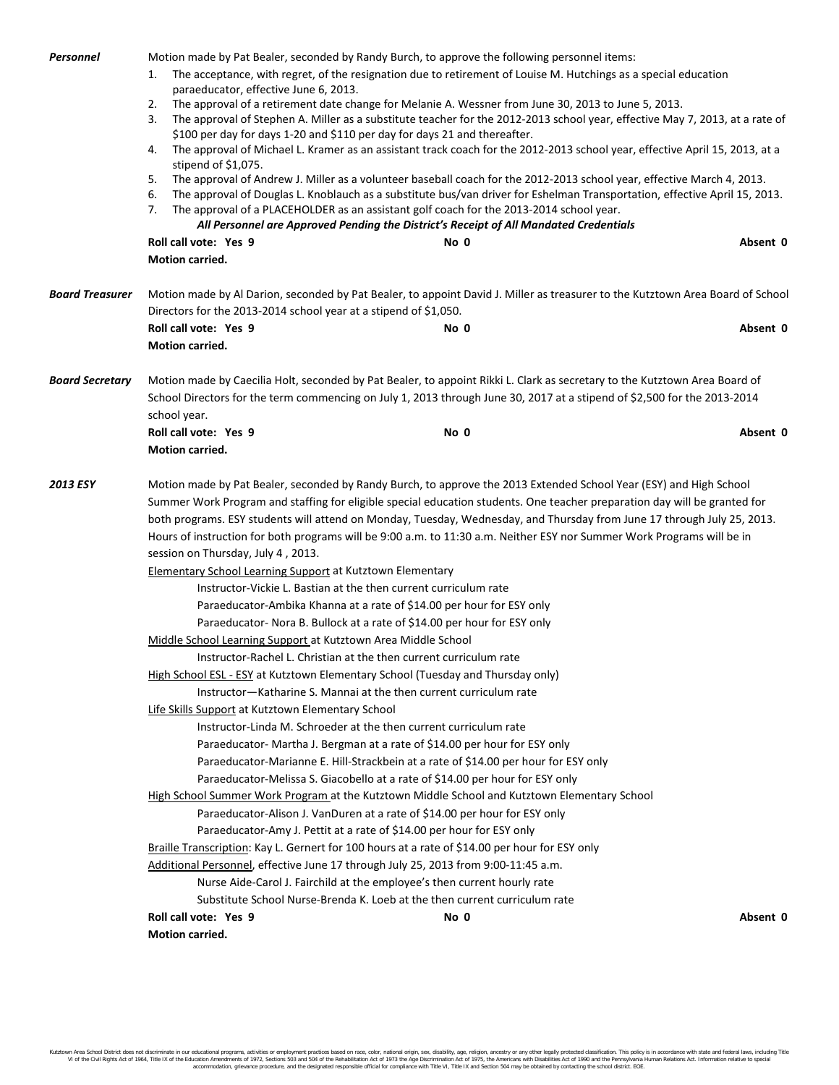| Personnel              | Motion made by Pat Bealer, seconded by Randy Burch, to approve the following personnel items:<br>The acceptance, with regret, of the resignation due to retirement of Louise M. Hutchings as a special education<br>1.<br>paraeducator, effective June 6, 2013.<br>The approval of a retirement date change for Melanie A. Wessner from June 30, 2013 to June 5, 2013.<br>2.<br>3.<br>The approval of Stephen A. Miller as a substitute teacher for the 2012-2013 school year, effective May 7, 2013, at a rate of<br>\$100 per day for days 1-20 and \$110 per day for days 21 and thereafter.<br>The approval of Michael L. Kramer as an assistant track coach for the 2012-2013 school year, effective April 15, 2013, at a<br>4.<br>stipend of \$1,075.<br>The approval of Andrew J. Miller as a volunteer baseball coach for the 2012-2013 school year, effective March 4, 2013.<br>5.<br>6.<br>The approval of Douglas L. Knoblauch as a substitute bus/van driver for Eshelman Transportation, effective April 15, 2013.<br>7.<br>The approval of a PLACEHOLDER as an assistant golf coach for the 2013-2014 school year.<br>All Personnel are Approved Pending the District's Receipt of All Mandated Credentials |                                                                                                                                                                                                                                                                                                                                                                                                                                                                                                                                                                                                                                                                                                                                                                                                                                                                                                                                                                                                                                                                                                                                                                                                                                                                                                                                                                                                                                                                                                                                                                                                                                                                                                                                                                                                                                                                                                          |          |  |  |
|------------------------|---------------------------------------------------------------------------------------------------------------------------------------------------------------------------------------------------------------------------------------------------------------------------------------------------------------------------------------------------------------------------------------------------------------------------------------------------------------------------------------------------------------------------------------------------------------------------------------------------------------------------------------------------------------------------------------------------------------------------------------------------------------------------------------------------------------------------------------------------------------------------------------------------------------------------------------------------------------------------------------------------------------------------------------------------------------------------------------------------------------------------------------------------------------------------------------------------------------------------|----------------------------------------------------------------------------------------------------------------------------------------------------------------------------------------------------------------------------------------------------------------------------------------------------------------------------------------------------------------------------------------------------------------------------------------------------------------------------------------------------------------------------------------------------------------------------------------------------------------------------------------------------------------------------------------------------------------------------------------------------------------------------------------------------------------------------------------------------------------------------------------------------------------------------------------------------------------------------------------------------------------------------------------------------------------------------------------------------------------------------------------------------------------------------------------------------------------------------------------------------------------------------------------------------------------------------------------------------------------------------------------------------------------------------------------------------------------------------------------------------------------------------------------------------------------------------------------------------------------------------------------------------------------------------------------------------------------------------------------------------------------------------------------------------------------------------------------------------------------------------------------------------------|----------|--|--|
|                        | Roll call vote: Yes 9<br>Motion carried.                                                                                                                                                                                                                                                                                                                                                                                                                                                                                                                                                                                                                                                                                                                                                                                                                                                                                                                                                                                                                                                                                                                                                                                  | No 0                                                                                                                                                                                                                                                                                                                                                                                                                                                                                                                                                                                                                                                                                                                                                                                                                                                                                                                                                                                                                                                                                                                                                                                                                                                                                                                                                                                                                                                                                                                                                                                                                                                                                                                                                                                                                                                                                                     | Absent 0 |  |  |
| <b>Board Treasurer</b> | Directors for the 2013-2014 school year at a stipend of \$1,050.<br>Roll call vote: Yes 9<br>Motion carried.                                                                                                                                                                                                                                                                                                                                                                                                                                                                                                                                                                                                                                                                                                                                                                                                                                                                                                                                                                                                                                                                                                              | Motion made by Al Darion, seconded by Pat Bealer, to appoint David J. Miller as treasurer to the Kutztown Area Board of School<br>No 0                                                                                                                                                                                                                                                                                                                                                                                                                                                                                                                                                                                                                                                                                                                                                                                                                                                                                                                                                                                                                                                                                                                                                                                                                                                                                                                                                                                                                                                                                                                                                                                                                                                                                                                                                                   | Absent 0 |  |  |
| <b>Board Secretary</b> | Motion made by Caecilia Holt, seconded by Pat Bealer, to appoint Rikki L. Clark as secretary to the Kutztown Area Board of<br>School Directors for the term commencing on July 1, 2013 through June 30, 2017 at a stipend of \$2,500 for the 2013-2014<br>school year.                                                                                                                                                                                                                                                                                                                                                                                                                                                                                                                                                                                                                                                                                                                                                                                                                                                                                                                                                    |                                                                                                                                                                                                                                                                                                                                                                                                                                                                                                                                                                                                                                                                                                                                                                                                                                                                                                                                                                                                                                                                                                                                                                                                                                                                                                                                                                                                                                                                                                                                                                                                                                                                                                                                                                                                                                                                                                          |          |  |  |
|                        | Roll call vote: Yes 9<br>Motion carried.                                                                                                                                                                                                                                                                                                                                                                                                                                                                                                                                                                                                                                                                                                                                                                                                                                                                                                                                                                                                                                                                                                                                                                                  | No 0                                                                                                                                                                                                                                                                                                                                                                                                                                                                                                                                                                                                                                                                                                                                                                                                                                                                                                                                                                                                                                                                                                                                                                                                                                                                                                                                                                                                                                                                                                                                                                                                                                                                                                                                                                                                                                                                                                     | Absent 0 |  |  |
| 2013 ESY               | session on Thursday, July 4, 2013.<br>Elementary School Learning Support at Kutztown Elementary<br>Middle School Learning Support at Kutztown Area Middle School<br>Life Skills Support at Kutztown Elementary School<br>Roll call vote: Yes 9                                                                                                                                                                                                                                                                                                                                                                                                                                                                                                                                                                                                                                                                                                                                                                                                                                                                                                                                                                            | Motion made by Pat Bealer, seconded by Randy Burch, to approve the 2013 Extended School Year (ESY) and High School<br>Summer Work Program and staffing for eligible special education students. One teacher preparation day will be granted for<br>both programs. ESY students will attend on Monday, Tuesday, Wednesday, and Thursday from June 17 through July 25, 2013.<br>Hours of instruction for both programs will be 9:00 a.m. to 11:30 a.m. Neither ESY nor Summer Work Programs will be in<br>Instructor-Vickie L. Bastian at the then current curriculum rate<br>Paraeducator-Ambika Khanna at a rate of \$14.00 per hour for ESY only<br>Paraeducator- Nora B. Bullock at a rate of \$14.00 per hour for ESY only<br>Instructor-Rachel L. Christian at the then current curriculum rate<br>High School ESL - ESY at Kutztown Elementary School (Tuesday and Thursday only)<br>Instructor-Katharine S. Mannai at the then current curriculum rate<br>Instructor-Linda M. Schroeder at the then current curriculum rate<br>Paraeducator- Martha J. Bergman at a rate of \$14.00 per hour for ESY only<br>Paraeducator-Marianne E. Hill-Strackbein at a rate of \$14.00 per hour for ESY only<br>Paraeducator-Melissa S. Giacobello at a rate of \$14.00 per hour for ESY only<br>High School Summer Work Program at the Kutztown Middle School and Kutztown Elementary School<br>Paraeducator-Alison J. VanDuren at a rate of \$14.00 per hour for ESY only<br>Paraeducator-Amy J. Pettit at a rate of \$14.00 per hour for ESY only<br>Braille Transcription: Kay L. Gernert for 100 hours at a rate of \$14.00 per hour for ESY only<br>Additional Personnel, effective June 17 through July 25, 2013 from 9:00-11:45 a.m.<br>Nurse Aide-Carol J. Fairchild at the employee's then current hourly rate<br>Substitute School Nurse-Brenda K. Loeb at the then current curriculum rate<br>No 0 | Absent 0 |  |  |
|                        | Motion carried.                                                                                                                                                                                                                                                                                                                                                                                                                                                                                                                                                                                                                                                                                                                                                                                                                                                                                                                                                                                                                                                                                                                                                                                                           |                                                                                                                                                                                                                                                                                                                                                                                                                                                                                                                                                                                                                                                                                                                                                                                                                                                                                                                                                                                                                                                                                                                                                                                                                                                                                                                                                                                                                                                                                                                                                                                                                                                                                                                                                                                                                                                                                                          |          |  |  |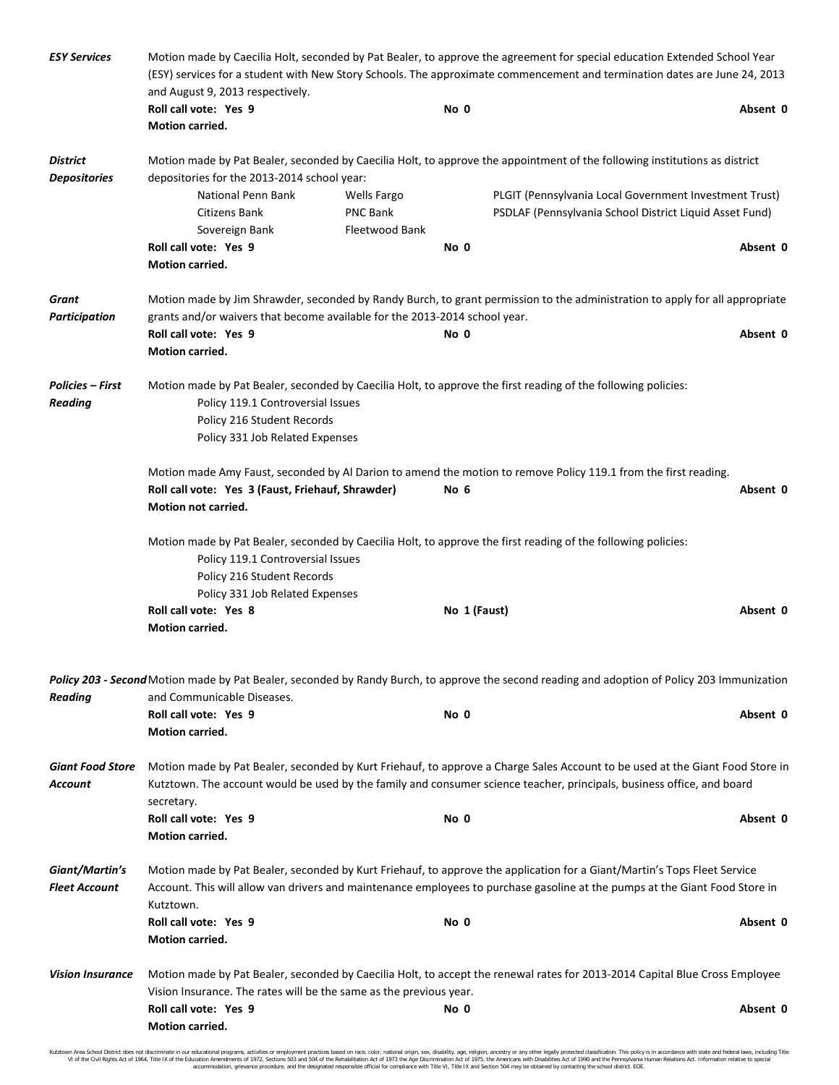| <b>ESY Services</b>                                                                                                                                                                                                                                                                                         | Motion made by Caecilia Holt, seconded by Pat Bealer, to approve the agreement for special education Extended School Year<br>(ESY) services for a student with New Story Schools. The approximate commencement and termination dates are June 24, 2013<br>and August 9, 2013 respectively. |                                       |              |                                                                                                                                               |          |  |
|-------------------------------------------------------------------------------------------------------------------------------------------------------------------------------------------------------------------------------------------------------------------------------------------------------------|--------------------------------------------------------------------------------------------------------------------------------------------------------------------------------------------------------------------------------------------------------------------------------------------|---------------------------------------|--------------|-----------------------------------------------------------------------------------------------------------------------------------------------|----------|--|
|                                                                                                                                                                                                                                                                                                             | Roll call vote: Yes 9<br><b>Motion carried.</b>                                                                                                                                                                                                                                            |                                       | No 0         |                                                                                                                                               | Absent 0 |  |
| <b>District</b><br><b>Depositories</b>                                                                                                                                                                                                                                                                      | Motion made by Pat Bealer, seconded by Caecilia Holt, to approve the appointment of the following institutions as district<br>depositories for the 2013-2014 school year:                                                                                                                  |                                       |              |                                                                                                                                               |          |  |
|                                                                                                                                                                                                                                                                                                             | National Penn Bank<br>Citizens Bank                                                                                                                                                                                                                                                        | <b>Wells Fargo</b><br><b>PNC Bank</b> |              | PLGIT (Pennsylvania Local Government Investment Trust)<br>PSDLAF (Pennsylvania School District Liquid Asset Fund)                             |          |  |
|                                                                                                                                                                                                                                                                                                             | Sovereign Bank<br>Roll call vote: Yes 9                                                                                                                                                                                                                                                    | Fleetwood Bank                        | No 0         |                                                                                                                                               | Absent 0 |  |
|                                                                                                                                                                                                                                                                                                             | Motion carried.                                                                                                                                                                                                                                                                            |                                       |              |                                                                                                                                               |          |  |
| Grant<br><b>Participation</b>                                                                                                                                                                                                                                                                               | Motion made by Jim Shrawder, seconded by Randy Burch, to grant permission to the administration to apply for all appropriate<br>grants and/or waivers that become available for the 2013-2014 school year.                                                                                 |                                       |              |                                                                                                                                               |          |  |
|                                                                                                                                                                                                                                                                                                             | Roll call vote: Yes 9                                                                                                                                                                                                                                                                      |                                       | No 0         |                                                                                                                                               | Absent 0 |  |
|                                                                                                                                                                                                                                                                                                             | Motion carried.                                                                                                                                                                                                                                                                            |                                       |              |                                                                                                                                               |          |  |
| Policies – First<br><b>Reading</b>                                                                                                                                                                                                                                                                          | Policy 119.1 Controversial Issues                                                                                                                                                                                                                                                          |                                       |              | Motion made by Pat Bealer, seconded by Caecilia Holt, to approve the first reading of the following policies:                                 |          |  |
|                                                                                                                                                                                                                                                                                                             | Policy 216 Student Records                                                                                                                                                                                                                                                                 |                                       |              |                                                                                                                                               |          |  |
|                                                                                                                                                                                                                                                                                                             | Policy 331 Job Related Expenses                                                                                                                                                                                                                                                            |                                       |              |                                                                                                                                               |          |  |
|                                                                                                                                                                                                                                                                                                             | Motion made Amy Faust, seconded by Al Darion to amend the motion to remove Policy 119.1 from the first reading.                                                                                                                                                                            |                                       |              |                                                                                                                                               |          |  |
|                                                                                                                                                                                                                                                                                                             | Roll call vote: Yes 3 (Faust, Friehauf, Shrawder)<br>Motion not carried.                                                                                                                                                                                                                   |                                       | No 6         |                                                                                                                                               | Absent 0 |  |
|                                                                                                                                                                                                                                                                                                             | Motion made by Pat Bealer, seconded by Caecilia Holt, to approve the first reading of the following policies:<br>Policy 119.1 Controversial Issues<br>Policy 216 Student Records<br>Policy 331 Job Related Expenses                                                                        |                                       |              |                                                                                                                                               |          |  |
|                                                                                                                                                                                                                                                                                                             | Roll call vote: Yes 8<br>Motion carried.                                                                                                                                                                                                                                                   |                                       | No 1 (Faust) |                                                                                                                                               | Absent 0 |  |
| <b>Reading</b>                                                                                                                                                                                                                                                                                              | and Communicable Diseases.                                                                                                                                                                                                                                                                 |                                       |              | Policy 203 - Second Motion made by Pat Bealer, seconded by Randy Burch, to approve the second reading and adoption of Policy 203 Immunization |          |  |
|                                                                                                                                                                                                                                                                                                             | Roll call vote: Yes 9<br><b>Motion carried.</b>                                                                                                                                                                                                                                            |                                       | No 0         |                                                                                                                                               | Absent 0 |  |
| <b>Giant Food Store</b><br>Motion made by Pat Bealer, seconded by Kurt Friehauf, to approve a Charge Sales Account to be used at the Giant Food Store in<br>Kutztown. The account would be used by the family and consumer science teacher, principals, business office, and board<br>Account<br>secretary. |                                                                                                                                                                                                                                                                                            |                                       |              |                                                                                                                                               |          |  |
|                                                                                                                                                                                                                                                                                                             | Roll call vote: Yes 9<br><b>Motion carried.</b>                                                                                                                                                                                                                                            |                                       | No 0         |                                                                                                                                               | Absent 0 |  |
| Giant/Martin's<br><b>Fleet Account</b>                                                                                                                                                                                                                                                                      | Motion made by Pat Bealer, seconded by Kurt Friehauf, to approve the application for a Giant/Martin's Tops Fleet Service<br>Account. This will allow van drivers and maintenance employees to purchase gasoline at the pumps at the Giant Food Store in<br>Kutztown.                       |                                       |              |                                                                                                                                               |          |  |
|                                                                                                                                                                                                                                                                                                             | Roll call vote: Yes 9<br>Motion carried.                                                                                                                                                                                                                                                   |                                       | No 0         |                                                                                                                                               | Absent 0 |  |
| <b>Vision Insurance</b>                                                                                                                                                                                                                                                                                     |                                                                                                                                                                                                                                                                                            |                                       |              | Motion made by Pat Bealer, seconded by Caecilia Holt, to accept the renewal rates for 2013-2014 Capital Blue Cross Employee                   |          |  |
|                                                                                                                                                                                                                                                                                                             | Vision Insurance. The rates will be the same as the previous year.                                                                                                                                                                                                                         |                                       |              |                                                                                                                                               |          |  |
|                                                                                                                                                                                                                                                                                                             | Roll call vote: Yes 9<br>Motion carried.                                                                                                                                                                                                                                                   |                                       | No 0         |                                                                                                                                               | Absent 0 |  |

Kutztown Area School District does not discriminate in our educational programs, activities or employment practices based on race, color, national origin, sex, disability, age, religion, ancestry or any other legally prot